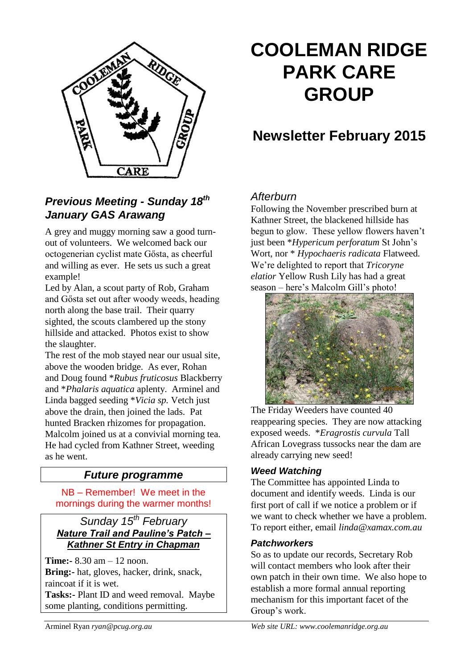

# *Previous Meeting - Sunday 18th January GAS Arawang*

A grey and muggy morning saw a good turnout of volunteers. We welcomed back our octogenerian cyclist mate Gősta, as cheerful and willing as ever. He sets us such a great example!

Led by Alan, a scout party of Rob, Graham and Gősta set out after woody weeds, heading north along the base trail. Their quarry sighted, the scouts clambered up the stony hillside and attacked. Photos exist to show the slaughter.

The rest of the mob stayed near our usual site, above the wooden bridge. As ever, Rohan and Doug found \**Rubus fruticosus* Blackberry and \**Phalaris aquatica* aplenty. Arminel and Linda bagged seeding \**Vicia sp.* Vetch just above the drain, then joined the lads. Pat hunted Bracken rhizomes for propagation. Malcolm joined us at a convivial morning tea. He had cycled from Kathner Street, weeding as he went.

# *Future programme*

NB – Remember! We meet in the mornings during the warmer months!

## *Sunday 15 th February Nature Trail and Pauline's Patch – Kathner St Entry in Chapman*

**Time:-** 8.30 am – 12 noon. **Bring:-** hat, gloves, hacker, drink, snack, raincoat if it is wet. **Tasks:-** Plant ID and weed removal. Maybe some planting, conditions permitting.

# **COOLEMAN RIDGE PARK CARE GROUP**

# **Newsletter February 2015**

# *Afterburn*

Following the November prescribed burn at Kathner Street, the blackened hillside has begun to glow. These yellow flowers haven't just been \**Hypericum perforatum* St John's Wort, nor \* *Hypochaeris radicata* Flatweed*.*  We're delighted to report that *Tricoryne elatior* Yellow Rush Lily has had a great season – here's Malcolm Gill's photo!



The Friday Weeders have counted 40 reappearing species. They are now attacking exposed weeds. \**Eragrostis curvula* Tall African Lovegrass tussocks near the dam are already carrying new seed!

# *Weed Watching*

The Committee has appointed Linda to document and identify weeds. Linda is our first port of call if we notice a problem or if we want to check whether we have a problem. To report either, email *linda@xamax.com.au*

#### *Patchworkers*

So as to update our records, Secretary Rob will contact members who look after their own patch in their own time. We also hope to establish a more formal annual reporting mechanism for this important facet of the Group's work.